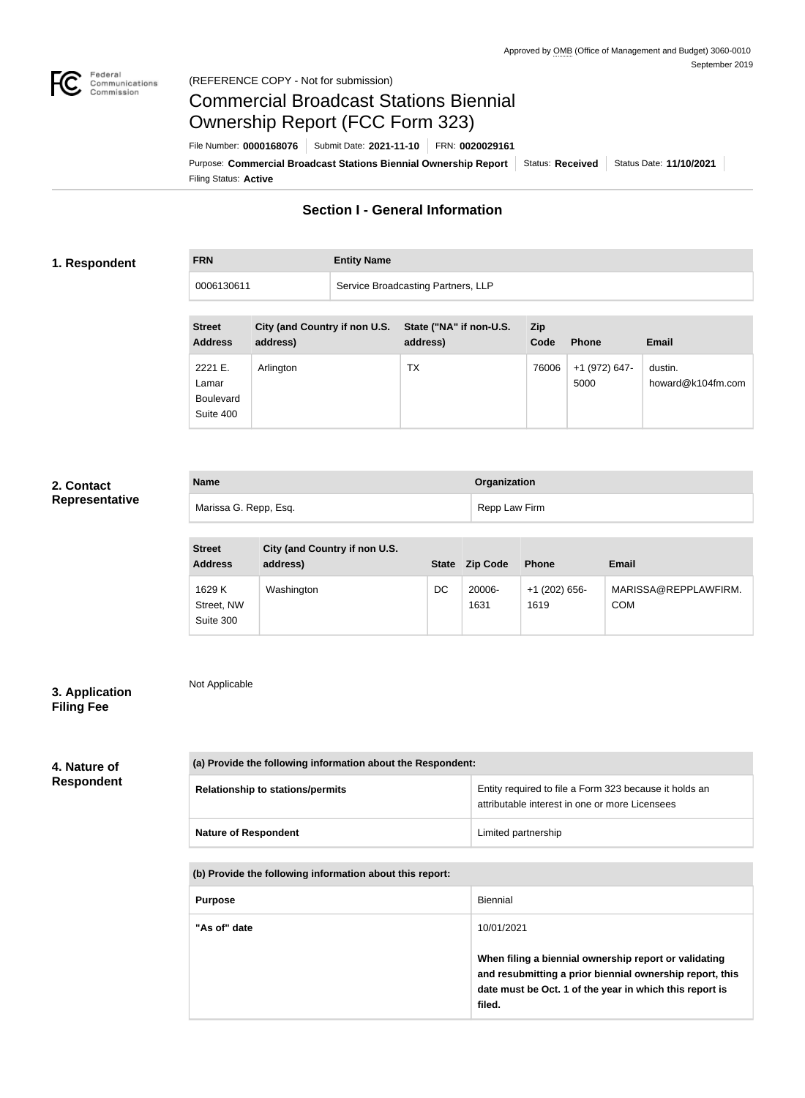

Not Applicable

# Commercial Broadcast Stations Biennial Ownership Report (FCC Form 323)

Filing Status: **Active** Purpose: Commercial Broadcast Stations Biennial Ownership Report Status: Received Status Date: 11/10/2021 File Number: **0000168076** Submit Date: **2021-11-10** FRN: **0020029161**

## **Section I - General Information**

### **1. Respondent**

**FRN Entity Name**

| <b>TIME</b> | <b>LIIULY NATILE</b>               |
|-------------|------------------------------------|
| 0006130611  | Service Broadcasting Partners, LLP |
|             |                                    |

| <b>Street</b><br><b>Address</b>                   | City (and Country if non U.S.<br>address) | State ("NA" if non-U.S.<br>address) | <b>Zip</b><br>Code | <b>Phone</b>          | <b>Email</b>                 |
|---------------------------------------------------|-------------------------------------------|-------------------------------------|--------------------|-----------------------|------------------------------|
| 2221 E.<br>Lamar<br><b>Boulevard</b><br>Suite 400 | Arlington                                 | ТX                                  | 76006              | +1 (972) 647-<br>5000 | dustin.<br>howard@k104fm.com |

## **2. Contact Representative**

| <b>Name</b>           | Organization  |
|-----------------------|---------------|
| Marissa G. Repp, Esq. | Repp Law Firm |

| <b>Street</b><br><b>Address</b>   | City (and Country if non U.S.<br>address) | <b>State</b> | <b>Zip Code</b> | <b>Phone</b>          | <b>Email</b>                       |
|-----------------------------------|-------------------------------------------|--------------|-----------------|-----------------------|------------------------------------|
| 1629 K<br>Street, NW<br>Suite 300 | Washington                                | DC           | 20006-<br>1631  | +1 (202) 656-<br>1619 | MARISSA@REPPLAWFIRM.<br><b>COM</b> |

## **3. Application Filing Fee**

## **4. Nature of Respondent**

| (a) Provide the following information about the Respondent: |                                                                                                          |  |  |
|-------------------------------------------------------------|----------------------------------------------------------------------------------------------------------|--|--|
| <b>Relationship to stations/permits</b>                     | Entity required to file a Form 323 because it holds an<br>attributable interest in one or more Licensees |  |  |
| <b>Nature of Respondent</b>                                 | Limited partnership                                                                                      |  |  |

#### **(b) Provide the following information about this report:**

| <b>Purpose</b> | Biennial                                                                                                                                                                               |
|----------------|----------------------------------------------------------------------------------------------------------------------------------------------------------------------------------------|
| "As of" date   | 10/01/2021                                                                                                                                                                             |
|                | When filing a biennial ownership report or validating<br>and resubmitting a prior biennial ownership report, this<br>date must be Oct. 1 of the year in which this report is<br>filed. |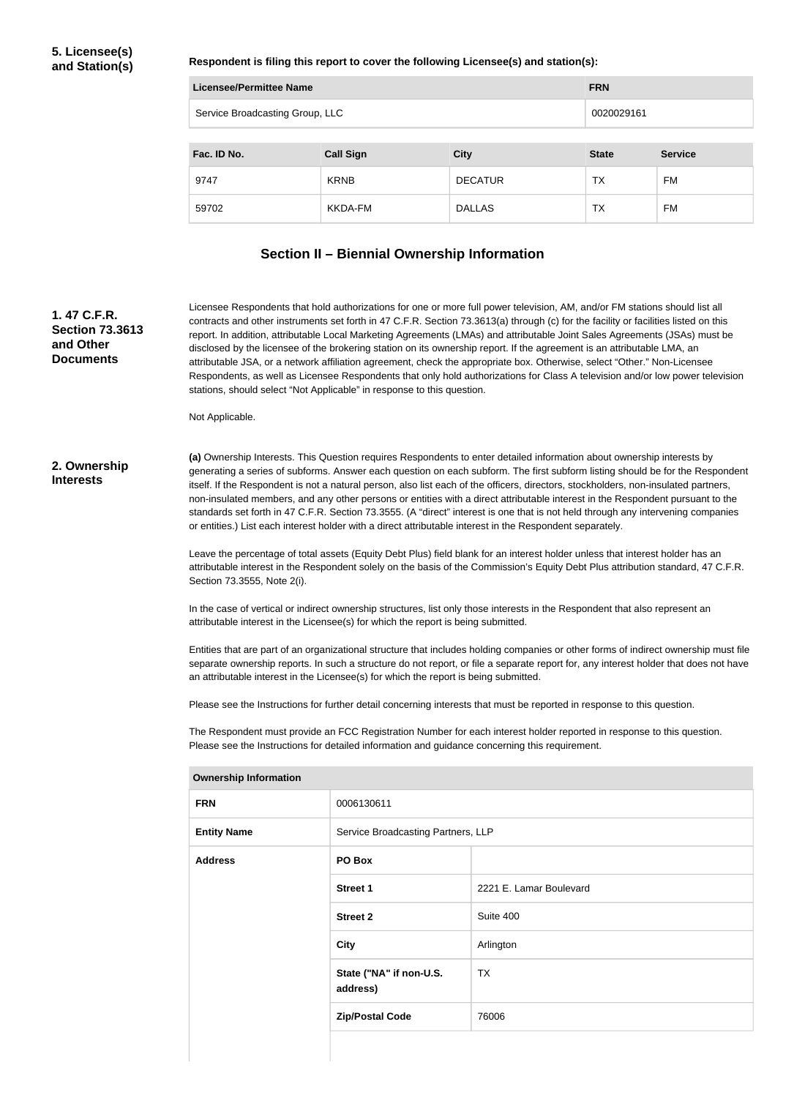**Respondent is filing this report to cover the following Licensee(s) and station(s):**

| <b>Licensee/Permittee Name</b>  |                  | <b>FRN</b>     |              |                |
|---------------------------------|------------------|----------------|--------------|----------------|
| Service Broadcasting Group, LLC |                  |                | 0020029161   |                |
|                                 |                  |                |              |                |
| Fac. ID No.                     | <b>Call Sign</b> | <b>City</b>    | <b>State</b> | <b>Service</b> |
| 9747                            | <b>KRNB</b>      | <b>DECATUR</b> | ТX           | <b>FM</b>      |
| 59702                           | <b>KKDA-FM</b>   | <b>DALLAS</b>  | ТX           | FM             |

#### **Section II – Biennial Ownership Information**

**1. 47 C.F.R. Section 73.3613 and Other Documents**

Licensee Respondents that hold authorizations for one or more full power television, AM, and/or FM stations should list all contracts and other instruments set forth in 47 C.F.R. Section 73.3613(a) through (c) for the facility or facilities listed on this report. In addition, attributable Local Marketing Agreements (LMAs) and attributable Joint Sales Agreements (JSAs) must be disclosed by the licensee of the brokering station on its ownership report. If the agreement is an attributable LMA, an attributable JSA, or a network affiliation agreement, check the appropriate box. Otherwise, select "Other." Non-Licensee Respondents, as well as Licensee Respondents that only hold authorizations for Class A television and/or low power television stations, should select "Not Applicable" in response to this question.

Not Applicable.

#### **2. Ownership Interests**

**(a)** Ownership Interests. This Question requires Respondents to enter detailed information about ownership interests by generating a series of subforms. Answer each question on each subform. The first subform listing should be for the Respondent itself. If the Respondent is not a natural person, also list each of the officers, directors, stockholders, non-insulated partners, non-insulated members, and any other persons or entities with a direct attributable interest in the Respondent pursuant to the standards set forth in 47 C.F.R. Section 73.3555. (A "direct" interest is one that is not held through any intervening companies or entities.) List each interest holder with a direct attributable interest in the Respondent separately.

Leave the percentage of total assets (Equity Debt Plus) field blank for an interest holder unless that interest holder has an attributable interest in the Respondent solely on the basis of the Commission's Equity Debt Plus attribution standard, 47 C.F.R. Section 73.3555, Note 2(i).

In the case of vertical or indirect ownership structures, list only those interests in the Respondent that also represent an attributable interest in the Licensee(s) for which the report is being submitted.

Entities that are part of an organizational structure that includes holding companies or other forms of indirect ownership must file separate ownership reports. In such a structure do not report, or file a separate report for, any interest holder that does not have an attributable interest in the Licensee(s) for which the report is being submitted.

Please see the Instructions for further detail concerning interests that must be reported in response to this question.

The Respondent must provide an FCC Registration Number for each interest holder reported in response to this question. Please see the Instructions for detailed information and guidance concerning this requirement.

| <b>Jwnersnip information</b> |                                     |                         |
|------------------------------|-------------------------------------|-------------------------|
| <b>FRN</b>                   | 0006130611                          |                         |
| <b>Entity Name</b>           | Service Broadcasting Partners, LLP  |                         |
| <b>Address</b>               | PO Box                              |                         |
|                              | <b>Street 1</b>                     | 2221 E. Lamar Boulevard |
|                              | <b>Street 2</b>                     | Suite 400               |
|                              | <b>City</b>                         | Arlington               |
|                              | State ("NA" if non-U.S.<br>address) | <b>TX</b>               |
|                              | <b>Zip/Postal Code</b>              | 76006                   |
|                              |                                     |                         |

#### **Ownership Information**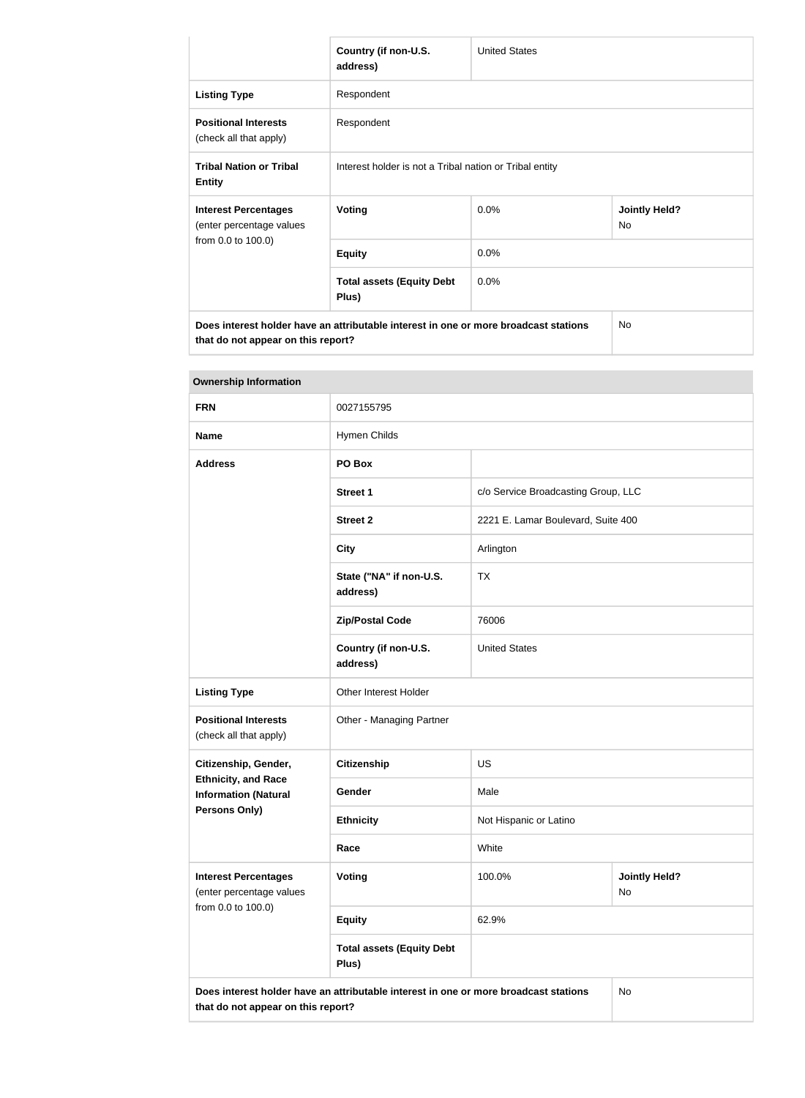|                                                                                      | Country (if non-U.S.<br>address)                        | <b>United States</b> |                            |
|--------------------------------------------------------------------------------------|---------------------------------------------------------|----------------------|----------------------------|
| <b>Listing Type</b>                                                                  | Respondent                                              |                      |                            |
| <b>Positional Interests</b><br>(check all that apply)                                | Respondent                                              |                      |                            |
| <b>Tribal Nation or Tribal</b><br><b>Entity</b>                                      | Interest holder is not a Tribal nation or Tribal entity |                      |                            |
| <b>Interest Percentages</b><br>(enter percentage values                              | <b>Voting</b>                                           | 0.0%                 | <b>Jointly Held?</b><br>No |
| from 0.0 to 100.0)                                                                   | <b>Equity</b>                                           | 0.0%                 |                            |
|                                                                                      | <b>Total assets (Equity Debt</b><br>Plus)               | 0.0%                 |                            |
| Does interest holder have an attributable interest in one or more broadcast stations |                                                         |                      | <b>No</b>                  |

**that do not appear on this report?**

| <b>Ownership Information</b>                              |                                                                                                                                  |                                    |                                     |  |  |
|-----------------------------------------------------------|----------------------------------------------------------------------------------------------------------------------------------|------------------------------------|-------------------------------------|--|--|
| <b>FRN</b>                                                | 0027155795                                                                                                                       |                                    |                                     |  |  |
| <b>Name</b>                                               | Hymen Childs                                                                                                                     |                                    |                                     |  |  |
| <b>Address</b>                                            | PO Box                                                                                                                           |                                    |                                     |  |  |
|                                                           | <b>Street 1</b>                                                                                                                  |                                    | c/o Service Broadcasting Group, LLC |  |  |
|                                                           | <b>Street 2</b>                                                                                                                  | 2221 E. Lamar Boulevard, Suite 400 |                                     |  |  |
|                                                           | <b>City</b>                                                                                                                      | Arlington                          |                                     |  |  |
|                                                           | State ("NA" if non-U.S.<br>address)                                                                                              | <b>TX</b>                          |                                     |  |  |
|                                                           | <b>Zip/Postal Code</b>                                                                                                           | 76006                              |                                     |  |  |
|                                                           | Country (if non-U.S.<br>address)                                                                                                 | <b>United States</b>               |                                     |  |  |
| <b>Listing Type</b>                                       | Other Interest Holder                                                                                                            |                                    |                                     |  |  |
| <b>Positional Interests</b><br>(check all that apply)     | Other - Managing Partner                                                                                                         |                                    |                                     |  |  |
| Citizenship, Gender,                                      | <b>Citizenship</b>                                                                                                               | US                                 |                                     |  |  |
| <b>Ethnicity, and Race</b><br><b>Information (Natural</b> | Gender                                                                                                                           | Male                               |                                     |  |  |
| Persons Only)                                             | <b>Ethnicity</b>                                                                                                                 | Not Hispanic or Latino             |                                     |  |  |
|                                                           | Race                                                                                                                             | White                              |                                     |  |  |
| <b>Interest Percentages</b><br>(enter percentage values   | Voting                                                                                                                           | 100.0%                             | <b>Jointly Held?</b><br>No          |  |  |
| from 0.0 to 100.0)                                        | <b>Equity</b>                                                                                                                    | 62.9%                              |                                     |  |  |
|                                                           | <b>Total assets (Equity Debt</b><br>Plus)                                                                                        |                                    |                                     |  |  |
|                                                           | Does interest holder have an attributable interest in one or more broadcast stations<br>No<br>that do not appear on this report? |                                    |                                     |  |  |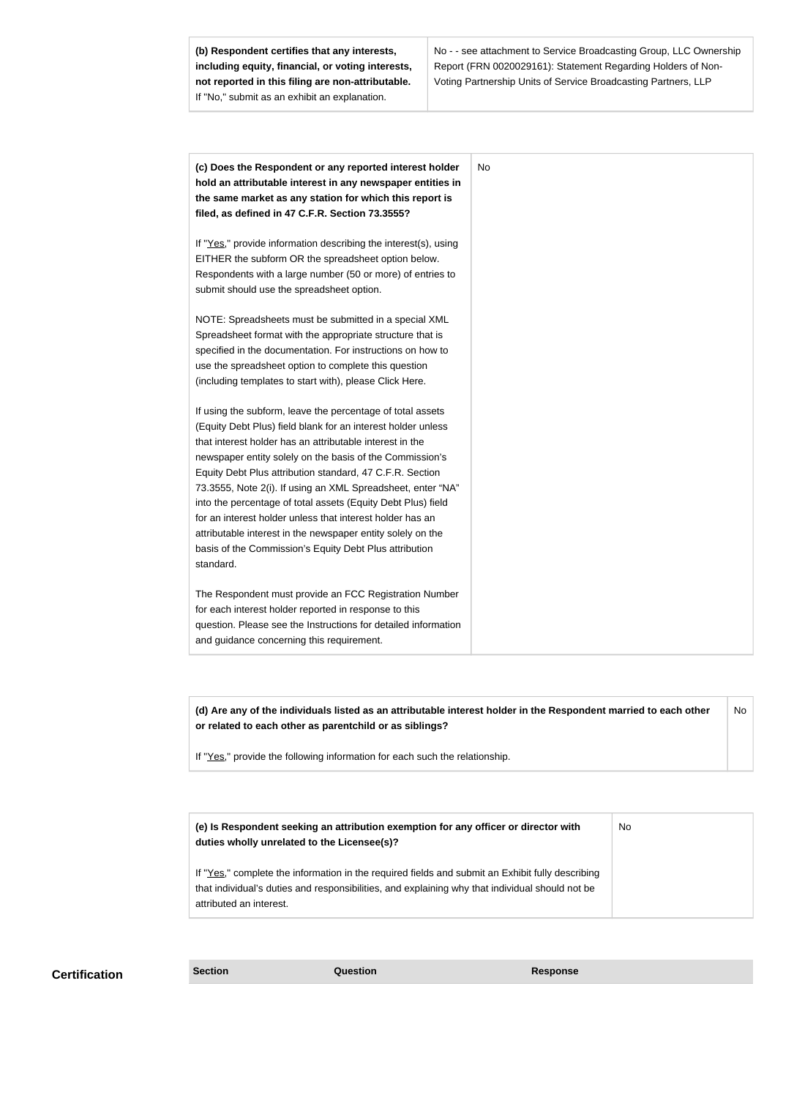**(b) Respondent certifies that any interests, including equity, financial, or voting interests, not reported in this filing are non-attributable.** If "No," submit as an exhibit an explanation.

No - - see attachment to Service Broadcasting Group, LLC Ownership Report (FRN 0020029161): Statement Regarding Holders of Non-Voting Partnership Units of Service Broadcasting Partners, LLP

| (c) Does the Respondent or any reported interest holder<br>hold an attributable interest in any newspaper entities in |  |
|-----------------------------------------------------------------------------------------------------------------------|--|
| the same market as any station for which this report is                                                               |  |
| filed, as defined in 47 C.F.R. Section 73.3555?                                                                       |  |
| If "Yes," provide information describing the interest(s), using                                                       |  |
| EITHER the subform OR the spreadsheet option below.                                                                   |  |
| Respondents with a large number (50 or more) of entries to                                                            |  |
| submit should use the spreadsheet option.                                                                             |  |
| NOTE: Spreadsheets must be submitted in a special XML                                                                 |  |
| Spreadsheet format with the appropriate structure that is                                                             |  |
| specified in the documentation. For instructions on how to                                                            |  |
| use the spreadsheet option to complete this question                                                                  |  |
| (including templates to start with), please Click Here.                                                               |  |
| If using the subform, leave the percentage of total assets                                                            |  |
| (Equity Debt Plus) field blank for an interest holder unless                                                          |  |
| that interest holder has an attributable interest in the                                                              |  |
| newspaper entity solely on the basis of the Commission's                                                              |  |
| Equity Debt Plus attribution standard, 47 C.F.R. Section                                                              |  |
| 73.3555, Note 2(i). If using an XML Spreadsheet, enter "NA"                                                           |  |
| into the percentage of total assets (Equity Debt Plus) field                                                          |  |
| for an interest holder unless that interest holder has an                                                             |  |
| attributable interest in the newspaper entity solely on the                                                           |  |
| basis of the Commission's Equity Debt Plus attribution                                                                |  |
| standard.                                                                                                             |  |
| The Respondent must provide an FCC Registration Number                                                                |  |
| for each interest holder reported in response to this                                                                 |  |
| question. Please see the Instructions for detailed information                                                        |  |
| and guidance concerning this requirement.                                                                             |  |

**(d) Are any of the individuals listed as an attributable interest holder in the Respondent married to each other or related to each other as parentchild or as siblings?** No

If "Yes," provide the following information for each such the relationship.

| (e) Is Respondent seeking an attribution exemption for any officer or director with<br>duties wholly unrelated to the Licensee(s)?                                                                  | No. |
|-----------------------------------------------------------------------------------------------------------------------------------------------------------------------------------------------------|-----|
| If "Yes," complete the information in the required fields and submit an Exhibit fully describing<br>that individual's duties and responsibilities, and explaining why that individual should not be |     |
| attributed an interest.                                                                                                                                                                             |     |

# **Certification Section Section Question** *Question* **Response**